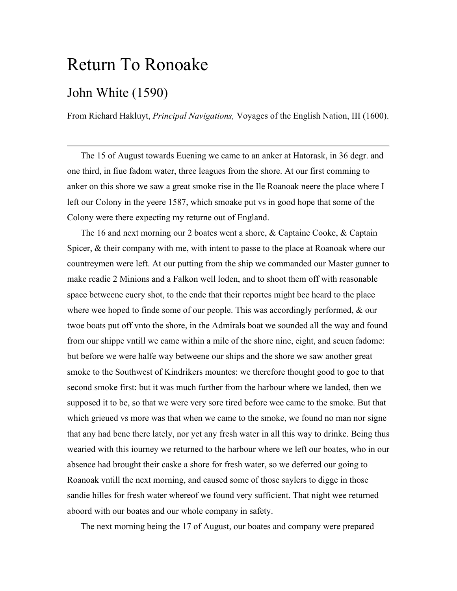## Return To Ronoake

## John White (1590)

From Richard Hakluyt, *Principal Navigations,* Voyages of the English Nation, III (1600).

 The 15 of August towards Euening we came to an anker at Hatorask, in 36 degr. and one third, in fiue fadom water, three leagues from the shore. At our first comming to anker on this shore we saw a great smoke rise in the Ile Roanoak neere the place where I left our Colony in the yeere 1587, which smoake put vs in good hope that some of the Colony were there expecting my returne out of England.

 The 16 and next morning our 2 boates went a shore, & Captaine Cooke, & Captain Spicer, & their company with me, with intent to passe to the place at Roanoak where our countreymen were left. At our putting from the ship we commanded our Master gunner to make readie 2 Minions and a Falkon well loden, and to shoot them off with reasonable space betweene euery shot, to the ende that their reportes might bee heard to the place where wee hoped to finde some of our people. This was accordingly performed,  $\&$  our twoe boats put off vnto the shore, in the Admirals boat we sounded all the way and found from our shippe vntill we came within a mile of the shore nine, eight, and seuen fadome: but before we were halfe way betweene our ships and the shore we saw another great smoke to the Southwest of Kindrikers mountes: we therefore thought good to goe to that second smoke first: but it was much further from the harbour where we landed, then we supposed it to be, so that we were very sore tired before wee came to the smoke. But that which grieued vs more was that when we came to the smoke, we found no man nor signe that any had bene there lately, nor yet any fresh water in all this way to drinke. Being thus wearied with this iourney we returned to the harbour where we left our boates, who in our absence had brought their caske a shore for fresh water, so we deferred our going to Roanoak vntill the next morning, and caused some of those saylers to digge in those sandie hilles for fresh water whereof we found very sufficient. That night wee returned aboord with our boates and our whole company in safety.

The next morning being the 17 of August, our boates and company were prepared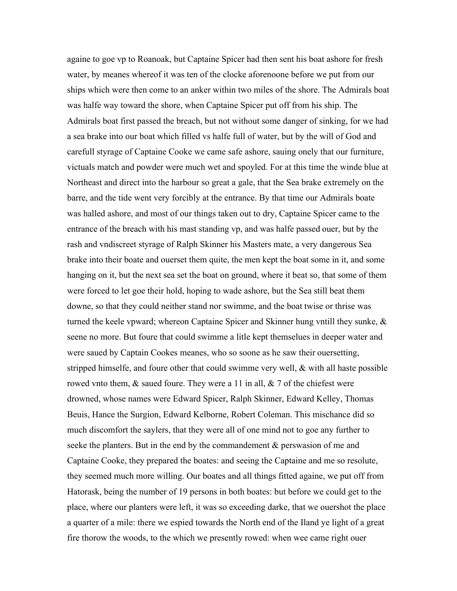againe to goe vp to Roanoak, but Captaine Spicer had then sent his boat ashore for fresh water, by meanes whereof it was ten of the clocke aforenoone before we put from our ships which were then come to an anker within two miles of the shore. The Admirals boat was halfe way toward the shore, when Captaine Spicer put off from his ship. The Admirals boat first passed the breach, but not without some danger of sinking, for we had a sea brake into our boat which filled vs halfe full of water, but by the will of God and carefull styrage of Captaine Cooke we came safe ashore, sauing onely that our furniture, victuals match and powder were much wet and spoyled. For at this time the winde blue at Northeast and direct into the harbour so great a gale, that the Sea brake extremely on the barre, and the tide went very forcibly at the entrance. By that time our Admirals boate was halled ashore, and most of our things taken out to dry, Captaine Spicer came to the entrance of the breach with his mast standing vp, and was halfe passed ouer, but by the rash and vndiscreet styrage of Ralph Skinner his Masters mate, a very dangerous Sea brake into their boate and ouerset them quite, the men kept the boat some in it, and some hanging on it, but the next sea set the boat on ground, where it beat so, that some of them were forced to let goe their hold, hoping to wade ashore, but the Sea still beat them downe, so that they could neither stand nor swimme, and the boat twise or thrise was turned the keele vpward; whereon Captaine Spicer and Skinner hung vntill they sunke, & seene no more. But foure that could swimme a litle kept themselues in deeper water and were saued by Captain Cookes meanes, who so soone as he saw their ouersetting, stripped himselfe, and foure other that could swimme very well, & with all haste possible rowed vnto them,  $\&$  saued foure. They were a 11 in all,  $\&$  7 of the chiefest were drowned, whose names were Edward Spicer, Ralph Skinner, Edward Kelley, Thomas Beuis, Hance the Surgion, Edward Kelborne, Robert Coleman. This mischance did so much discomfort the saylers, that they were all of one mind not to goe any further to seeke the planters. But in the end by the commandement & perswasion of me and Captaine Cooke, they prepared the boates: and seeing the Captaine and me so resolute, they seemed much more willing. Our boates and all things fitted againe, we put off from Hatorask, being the number of 19 persons in both boates: but before we could get to the place, where our planters were left, it was so exceeding darke, that we ouershot the place a quarter of a mile: there we espied towards the North end of the Iland ye light of a great fire thorow the woods, to the which we presently rowed: when wee came right ouer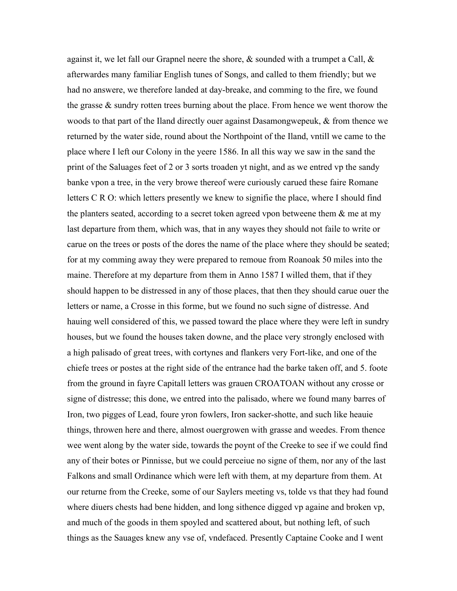against it, we let fall our Grapnel neere the shore,  $\&$  sounded with a trumpet a Call,  $\&$ afterwardes many familiar English tunes of Songs, and called to them friendly; but we had no answere, we therefore landed at day-breake, and comming to the fire, we found the grasse & sundry rotten trees burning about the place. From hence we went thorow the woods to that part of the Iland directly ouer against Dasamongwepeuk, & from thence we returned by the water side, round about the Northpoint of the Iland, vntill we came to the place where I left our Colony in the yeere 1586. In all this way we saw in the sand the print of the Saluages feet of 2 or 3 sorts troaden yt night, and as we entred vp the sandy banke vpon a tree, in the very browe thereof were curiously carued these faire Romane letters C R O: which letters presently we knew to signifie the place, where I should find the planters seated, according to a secret token agreed vpon betweene them  $\&$  me at my last departure from them, which was, that in any wayes they should not faile to write or carue on the trees or posts of the dores the name of the place where they should be seated; for at my comming away they were prepared to remoue from Roanoak 50 miles into the maine. Therefore at my departure from them in Anno 1587 I willed them, that if they should happen to be distressed in any of those places, that then they should carue ouer the letters or name, a Crosse in this forme, but we found no such signe of distresse. And hauing well considered of this, we passed toward the place where they were left in sundry houses, but we found the houses taken downe, and the place very strongly enclosed with a high palisado of great trees, with cortynes and flankers very Fort-like, and one of the chiefe trees or postes at the right side of the entrance had the barke taken off, and 5. foote from the ground in fayre Capitall letters was grauen CROATOAN without any crosse or signe of distresse; this done, we entred into the palisado, where we found many barres of Iron, two pigges of Lead, foure yron fowlers, Iron sacker-shotte, and such like heauie things, throwen here and there, almost ouergrowen with grasse and weedes. From thence wee went along by the water side, towards the poynt of the Creeke to see if we could find any of their botes or Pinnisse, but we could perceiue no signe of them, nor any of the last Falkons and small Ordinance which were left with them, at my departure from them. At our returne from the Creeke, some of our Saylers meeting vs, tolde vs that they had found where diuers chests had bene hidden, and long sithence digged vp againe and broken vp, and much of the goods in them spoyled and scattered about, but nothing left, of such things as the Sauages knew any vse of, vndefaced. Presently Captaine Cooke and I went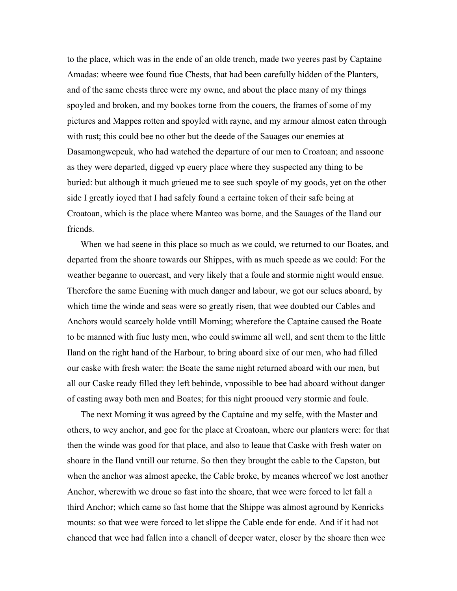to the place, which was in the ende of an olde trench, made two yeeres past by Captaine Amadas: wheere wee found fiue Chests, that had been carefully hidden of the Planters, and of the same chests three were my owne, and about the place many of my things spoyled and broken, and my bookes torne from the couers, the frames of some of my pictures and Mappes rotten and spoyled with rayne, and my armour almost eaten through with rust; this could bee no other but the deede of the Sauages our enemies at Dasamongwepeuk, who had watched the departure of our men to Croatoan; and assoone as they were departed, digged vp euery place where they suspected any thing to be buried: but although it much grieued me to see such spoyle of my goods, yet on the other side I greatly ioyed that I had safely found a certaine token of their safe being at Croatoan, which is the place where Manteo was borne, and the Sauages of the Iland our friends.

 When we had seene in this place so much as we could, we returned to our Boates, and departed from the shoare towards our Shippes, with as much speede as we could: For the weather beganne to ouercast, and very likely that a foule and stormie night would ensue. Therefore the same Euening with much danger and labour, we got our selues aboard, by which time the winde and seas were so greatly risen, that wee doubted our Cables and Anchors would scarcely holde vntill Morning; wherefore the Captaine caused the Boate to be manned with fiue lusty men, who could swimme all well, and sent them to the little Iland on the right hand of the Harbour, to bring aboard sixe of our men, who had filled our caske with fresh water: the Boate the same night returned aboard with our men, but all our Caske ready filled they left behinde, vnpossible to bee had aboard without danger of casting away both men and Boates; for this night prooued very stormie and foule.

 The next Morning it was agreed by the Captaine and my selfe, with the Master and others, to wey anchor, and goe for the place at Croatoan, where our planters were: for that then the winde was good for that place, and also to leaue that Caske with fresh water on shoare in the Iland vntill our returne. So then they brought the cable to the Capston, but when the anchor was almost apecke, the Cable broke, by meanes whereof we lost another Anchor, wherewith we droue so fast into the shoare, that wee were forced to let fall a third Anchor; which came so fast home that the Shippe was almost aground by Kenricks mounts: so that wee were forced to let slippe the Cable ende for ende. And if it had not chanced that wee had fallen into a chanell of deeper water, closer by the shoare then wee